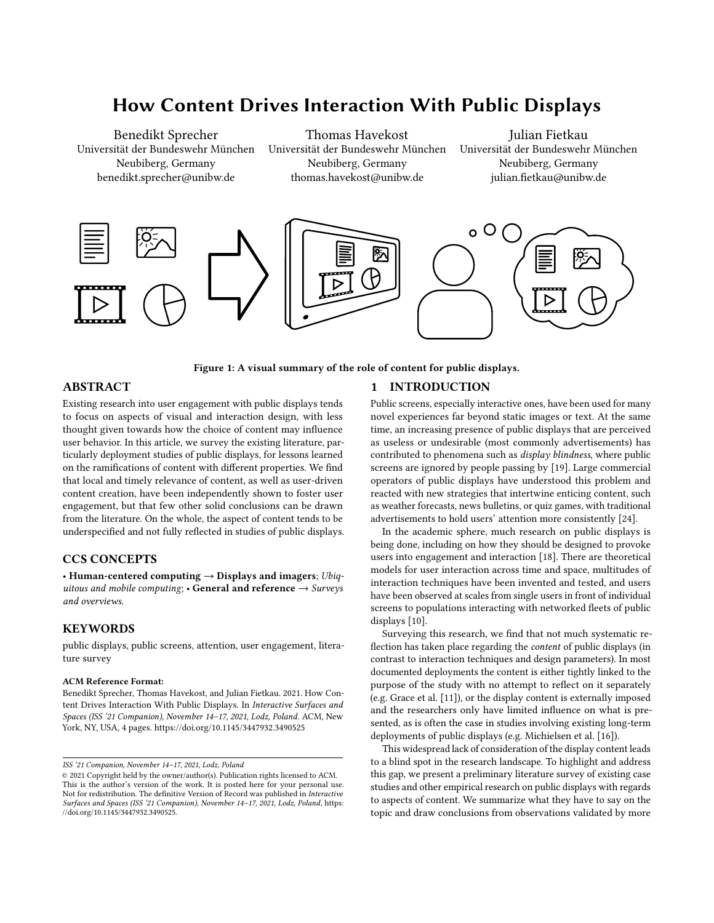# How Content Drives Interaction With Public Displays

Benedikt Sprecher Universität der Bundeswehr München Neubiberg, Germany benedikt.sprecher@unibw.de

Thomas Havekost Universität der Bundeswehr München Neubiberg, Germany thomas.havekost@unibw.de

[Julian Fietkau](https://orcid.org/0000-0001-7264-8496) Universität der Bundeswehr München Neubiberg, Germany julian.fietkau@unibw.de

<span id="page-0-0"></span>

Figure 1: A visual summary of the role of content for public displays.

## ABSTRACT

Existing research into user engagement with public displays tends to focus on aspects of visual and interaction design, with less thought given towards how the choice of content may influence user behavior. In this article, we survey the existing literature, particularly deployment studies of public displays, for lessons learned on the ramifications of content with different properties. We find that local and timely relevance of content, as well as user-driven content creation, have been independently shown to foster user engagement, but that few other solid conclusions can be drawn from the literature. On the whole, the aspect of content tends to be underspecified and not fully reflected in studies of public displays.

# CCS CONCEPTS

• Human-centered computing  $\rightarrow$  Displays and imagers; Ubiquitous and mobile computing;  $\cdot$  General and reference  $\rightarrow$  Surveys and overviews.

## **KEYWORDS**

public displays, public screens, attention, user engagement, literature survey

#### ACM Reference Format:

Benedikt Sprecher, Thomas Havekost, and Julian Fietkau. 2021. How Content Drives Interaction With Public Displays. In Interactive Surfaces and Spaces (ISS '21 Companion), November 14–17, 2021, Lodz, Poland. ACM, New York, NY, USA, [4](#page-3-0) pages.<https://doi.org/10.1145/3447932.3490525>

#### 1 INTRODUCTION

Public screens, especially interactive ones, have been used for many novel experiences far beyond static images or text. At the same time, an increasing presence of public displays that are perceived as useless or undesirable (most commonly advertisements) has contributed to phenomena such as display blindness, where public screens are ignored by people passing by [\[19\]](#page-3-1). Large commercial operators of public displays have understood this problem and reacted with new strategies that intertwine enticing content, such as weather forecasts, news bulletins, or quiz games, with traditional advertisements to hold users' attention more consistently [\[24\]](#page-3-2).

In the academic sphere, much research on public displays is being done, including on how they should be designed to provoke users into engagement and interaction [\[18\]](#page-3-3). There are theoretical models for user interaction across time and space, multitudes of interaction techniques have been invented and tested, and users have been observed at scales from single users in front of individual screens to populations interacting with networked fleets of public displays [\[10\]](#page-3-4).

Surveying this research, we find that not much systematic reflection has taken place regarding the content of public displays (in contrast to interaction techniques and design parameters). In most documented deployments the content is either tightly linked to the purpose of the study with no attempt to reflect on it separately (e.g. Grace et al. [\[11\]](#page-3-5)), or the display content is externally imposed and the researchers only have limited influence on what is presented, as is often the case in studies involving existing long-term deployments of public displays (e.g. Michielsen et al. [\[16\]](#page-3-6)).

This widespread lack of consideration of the display content leads to a blind spot in the research landscape. To highlight and address this gap, we present a preliminary literature survey of existing case studies and other empirical research on public displays with regards to aspects of content. We summarize what they have to say on the topic and draw conclusions from observations validated by more

ISS '21 Companion, November 14–17, 2021, Lodz, Poland

<sup>©</sup> 2021 Copyright held by the owner/author(s). Publication rights licensed to ACM. This is the author's version of the work. It is posted here for your personal use. Not for redistribution. The definitive Version of Record was published in Interactive Surfaces and Spaces (ISS '21 Companion), November 14–17, 2021, Lodz, Poland, [https:](https://doi.org/10.1145/3447932.3490525) [//doi.org/10.1145/3447932.3490525.](https://doi.org/10.1145/3447932.3490525)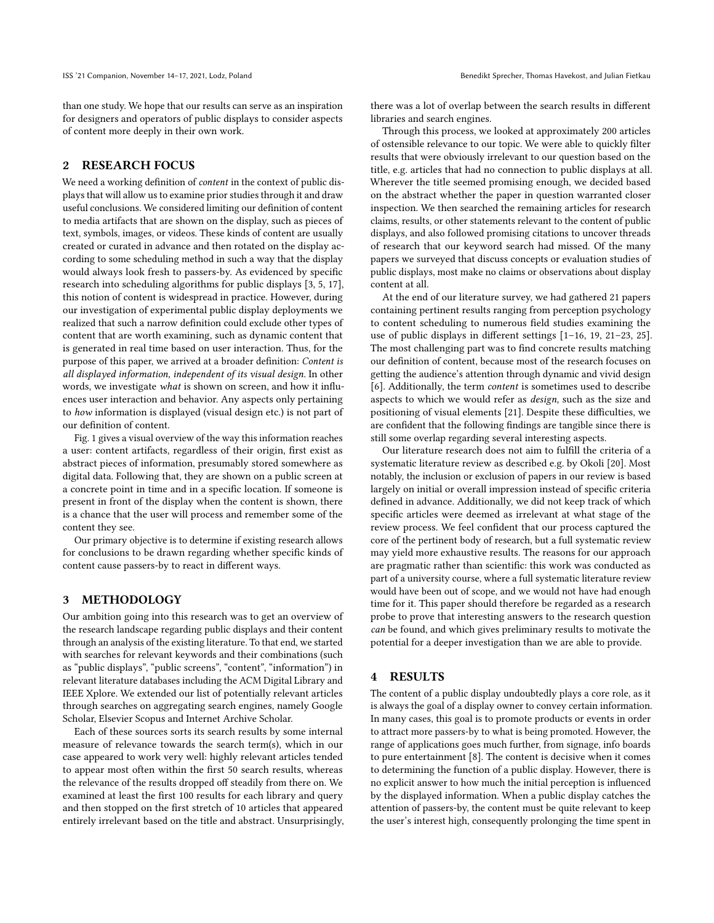than one study. We hope that our results can serve as an inspiration for designers and operators of public displays to consider aspects of content more deeply in their own work.

## 2 RESEARCH FOCUS

We need a working definition of *content* in the context of public displays that will allow us to examine prior studies through it and draw useful conclusions. We considered limiting our definition of content to media artifacts that are shown on the display, such as pieces of text, symbols, images, or videos. These kinds of content are usually created or curated in advance and then rotated on the display according to some scheduling method in such a way that the display would always look fresh to passers-by. As evidenced by specific research into scheduling algorithms for public displays [\[3,](#page-3-7) [5,](#page-3-8) [17\]](#page-3-9), this notion of content is widespread in practice. However, during our investigation of experimental public display deployments we realized that such a narrow definition could exclude other types of content that are worth examining, such as dynamic content that is generated in real time based on user interaction. Thus, for the purpose of this paper, we arrived at a broader definition: Content is all displayed information, independent of its visual design. In other words, we investigate what is shown on screen, and how it influences user interaction and behavior. Any aspects only pertaining to how information is displayed (visual design etc.) is not part of our definition of content.

Fig. [1](#page-0-0) gives a visual overview of the way this information reaches a user: content artifacts, regardless of their origin, first exist as abstract pieces of information, presumably stored somewhere as digital data. Following that, they are shown on a public screen at a concrete point in time and in a specific location. If someone is present in front of the display when the content is shown, there is a chance that the user will process and remember some of the content they see.

Our primary objective is to determine if existing research allows for conclusions to be drawn regarding whether specific kinds of content cause passers-by to react in different ways.

#### <span id="page-1-0"></span>3 METHODOLOGY

Our ambition going into this research was to get an overview of the research landscape regarding public displays and their content through an analysis of the existing literature. To that end, we started with searches for relevant keywords and their combinations (such as "public displays", "public screens", "content", "information") in relevant literature databases including the ACM Digital Library and IEEE Xplore. We extended our list of potentially relevant articles through searches on aggregating search engines, namely Google Scholar, Elsevier Scopus and Internet Archive Scholar.

Each of these sources sorts its search results by some internal measure of relevance towards the search term(s), which in our case appeared to work very well: highly relevant articles tended to appear most often within the first 50 search results, whereas the relevance of the results dropped off steadily from there on. We examined at least the first 100 results for each library and query and then stopped on the first stretch of 10 articles that appeared entirely irrelevant based on the title and abstract. Unsurprisingly, there was a lot of overlap between the search results in different libraries and search engines.

Through this process, we looked at approximately 200 articles of ostensible relevance to our topic. We were able to quickly filter results that were obviously irrelevant to our question based on the title, e.g. articles that had no connection to public displays at all. Wherever the title seemed promising enough, we decided based on the abstract whether the paper in question warranted closer inspection. We then searched the remaining articles for research claims, results, or other statements relevant to the content of public displays, and also followed promising citations to uncover threads of research that our keyword search had missed. Of the many papers we surveyed that discuss concepts or evaluation studies of public displays, most make no claims or observations about display content at all.

At the end of our literature survey, we had gathered 21 papers containing pertinent results ranging from perception psychology to content scheduling to numerous field studies examining the use of public displays in different settings [\[1–](#page-3-10)[16,](#page-3-6) [19,](#page-3-1) [21–](#page-3-11)[23,](#page-3-12) [25\]](#page-3-13). The most challenging part was to find concrete results matching our definition of content, because most of the research focuses on getting the audience's attention through dynamic and vivid design [\[6\]](#page-3-14). Additionally, the term content is sometimes used to describe aspects to which we would refer as design, such as the size and positioning of visual elements [\[21\]](#page-3-11). Despite these difficulties, we are confident that the following findings are tangible since there is still some overlap regarding several interesting aspects.

Our literature research does not aim to fulfill the criteria of a systematic literature review as described e.g. by Okoli [\[20\]](#page-3-15). Most notably, the inclusion or exclusion of papers in our review is based largely on initial or overall impression instead of specific criteria defined in advance. Additionally, we did not keep track of which specific articles were deemed as irrelevant at what stage of the review process. We feel confident that our process captured the core of the pertinent body of research, but a full systematic review may yield more exhaustive results. The reasons for our approach are pragmatic rather than scientific: this work was conducted as part of a university course, where a full systematic literature review would have been out of scope, and we would not have had enough time for it. This paper should therefore be regarded as a research probe to prove that interesting answers to the research question can be found, and which gives preliminary results to motivate the potential for a deeper investigation than we are able to provide.

#### 4 RESULTS

The content of a public display undoubtedly plays a core role, as it is always the goal of a display owner to convey certain information. In many cases, this goal is to promote products or events in order to attract more passers-by to what is being promoted. However, the range of applications goes much further, from signage, info boards to pure entertainment [\[8\]](#page-3-16). The content is decisive when it comes to determining the function of a public display. However, there is no explicit answer to how much the initial perception is influenced by the displayed information. When a public display catches the attention of passers-by, the content must be quite relevant to keep the user's interest high, consequently prolonging the time spent in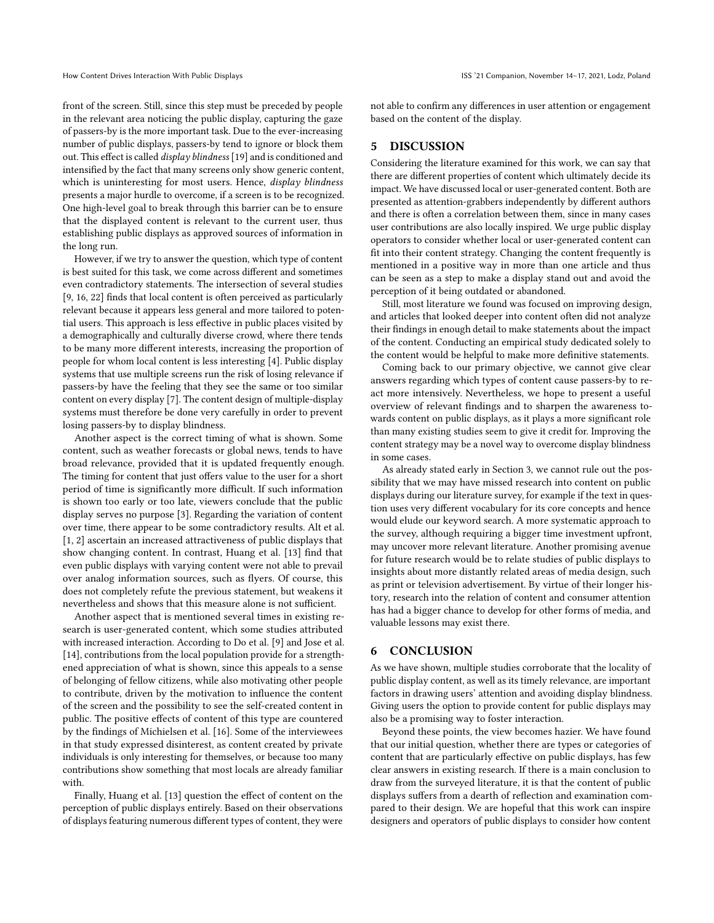front of the screen. Still, since this step must be preceded by people in the relevant area noticing the public display, capturing the gaze of passers-by is the more important task. Due to the ever-increasing number of public displays, passers-by tend to ignore or block them out. This effect is called display blindness [\[19\]](#page-3-1) and is conditioned and intensified by the fact that many screens only show generic content, which is uninteresting for most users. Hence, display blindness presents a major hurdle to overcome, if a screen is to be recognized. One high-level goal to break through this barrier can be to ensure that the displayed content is relevant to the current user, thus establishing public displays as approved sources of information in the long run.

However, if we try to answer the question, which type of content is best suited for this task, we come across different and sometimes even contradictory statements. The intersection of several studies [\[9,](#page-3-17) [16,](#page-3-6) [22\]](#page-3-18) finds that local content is often perceived as particularly relevant because it appears less general and more tailored to potential users. This approach is less effective in public places visited by a demographically and culturally diverse crowd, where there tends to be many more different interests, increasing the proportion of people for whom local content is less interesting [\[4\]](#page-3-19). Public display systems that use multiple screens run the risk of losing relevance if passers-by have the feeling that they see the same or too similar content on every display [\[7\]](#page-3-20). The content design of multiple-display systems must therefore be done very carefully in order to prevent losing passers-by to display blindness.

Another aspect is the correct timing of what is shown. Some content, such as weather forecasts or global news, tends to have broad relevance, provided that it is updated frequently enough. The timing for content that just offers value to the user for a short period of time is significantly more difficult. If such information is shown too early or too late, viewers conclude that the public display serves no purpose [\[3\]](#page-3-7). Regarding the variation of content over time, there appear to be some contradictory results. Alt et al. [\[1,](#page-3-10) [2\]](#page-3-21) ascertain an increased attractiveness of public displays that show changing content. In contrast, Huang et al. [\[13\]](#page-3-22) find that even public displays with varying content were not able to prevail over analog information sources, such as flyers. Of course, this does not completely refute the previous statement, but weakens it nevertheless and shows that this measure alone is not sufficient.

Another aspect that is mentioned several times in existing research is user-generated content, which some studies attributed with increased interaction. According to Do et al. [\[9\]](#page-3-17) and Jose et al. [\[14\]](#page-3-23), contributions from the local population provide for a strengthened appreciation of what is shown, since this appeals to a sense of belonging of fellow citizens, while also motivating other people to contribute, driven by the motivation to influence the content of the screen and the possibility to see the self-created content in public. The positive effects of content of this type are countered by the findings of Michielsen et al. [\[16\]](#page-3-6). Some of the interviewees in that study expressed disinterest, as content created by private individuals is only interesting for themselves, or because too many contributions show something that most locals are already familiar with.

Finally, Huang et al. [\[13\]](#page-3-22) question the effect of content on the perception of public displays entirely. Based on their observations of displays featuring numerous different types of content, they were not able to confirm any differences in user attention or engagement based on the content of the display.

#### 5 DISCUSSION

Considering the literature examined for this work, we can say that there are different properties of content which ultimately decide its impact. We have discussed local or user-generated content. Both are presented as attention-grabbers independently by different authors and there is often a correlation between them, since in many cases user contributions are also locally inspired. We urge public display operators to consider whether local or user-generated content can fit into their content strategy. Changing the content frequently is mentioned in a positive way in more than one article and thus can be seen as a step to make a display stand out and avoid the perception of it being outdated or abandoned.

Still, most literature we found was focused on improving design, and articles that looked deeper into content often did not analyze their findings in enough detail to make statements about the impact of the content. Conducting an empirical study dedicated solely to the content would be helpful to make more definitive statements.

Coming back to our primary objective, we cannot give clear answers regarding which types of content cause passers-by to react more intensively. Nevertheless, we hope to present a useful overview of relevant findings and to sharpen the awareness towards content on public displays, as it plays a more significant role than many existing studies seem to give it credit for. Improving the content strategy may be a novel way to overcome display blindness in some cases.

As already stated early in Section [3,](#page-1-0) we cannot rule out the possibility that we may have missed research into content on public displays during our literature survey, for example if the text in question uses very different vocabulary for its core concepts and hence would elude our keyword search. A more systematic approach to the survey, although requiring a bigger time investment upfront, may uncover more relevant literature. Another promising avenue for future research would be to relate studies of public displays to insights about more distantly related areas of media design, such as print or television advertisement. By virtue of their longer history, research into the relation of content and consumer attention has had a bigger chance to develop for other forms of media, and valuable lessons may exist there.

#### 6 CONCLUSION

As we have shown, multiple studies corroborate that the locality of public display content, as well as its timely relevance, are important factors in drawing users' attention and avoiding display blindness. Giving users the option to provide content for public displays may also be a promising way to foster interaction.

Beyond these points, the view becomes hazier. We have found that our initial question, whether there are types or categories of content that are particularly effective on public displays, has few clear answers in existing research. If there is a main conclusion to draw from the surveyed literature, it is that the content of public displays suffers from a dearth of reflection and examination compared to their design. We are hopeful that this work can inspire designers and operators of public displays to consider how content